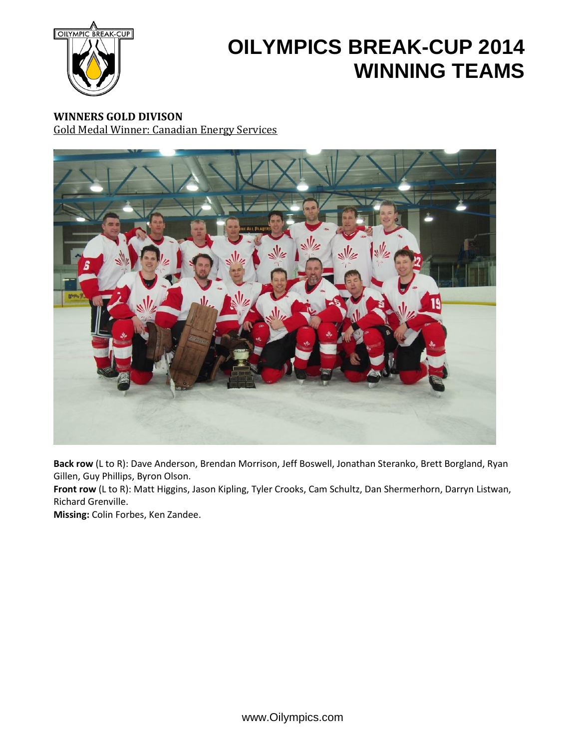

**WINNERS GOLD DIVISON** Gold Medal Winner: Canadian Energy Services



**Back row** (L to R): Dave Anderson, Brendan Morrison, Jeff Boswell, Jonathan Steranko, Brett Borgland, Ryan Gillen, Guy Phillips, Byron Olson.

**Front row** (L to R): Matt Higgins, Jason Kipling, Tyler Crooks, Cam Schultz, Dan Shermerhorn, Darryn Listwan, Richard Grenville.

**Missing:** Colin Forbes, Ken Zandee.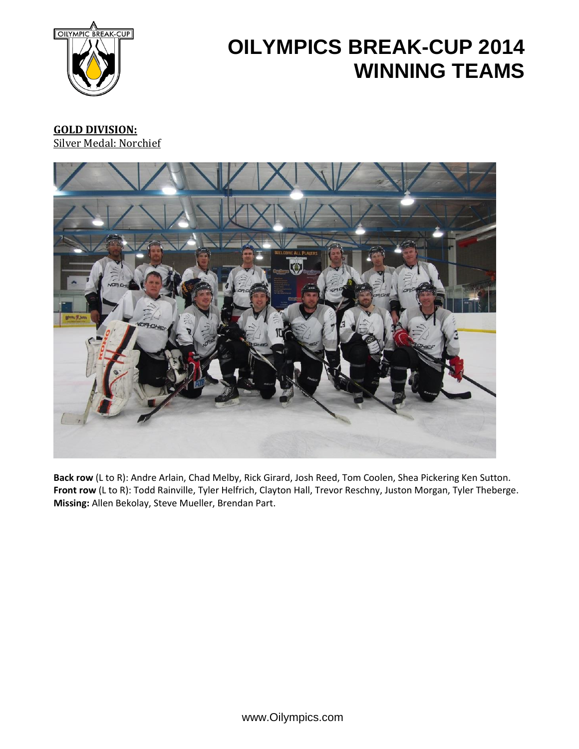

### **GOLD DIVISION:** Silver Medal: Norchief



**Back row** (L to R): Andre Arlain, Chad Melby, Rick Girard, Josh Reed, Tom Coolen, Shea Pickering Ken Sutton. **Front row** (L to R): Todd Rainville, Tyler Helfrich, Clayton Hall, Trevor Reschny, Juston Morgan, Tyler Theberge. **Missing:** Allen Bekolay, Steve Mueller, Brendan Part.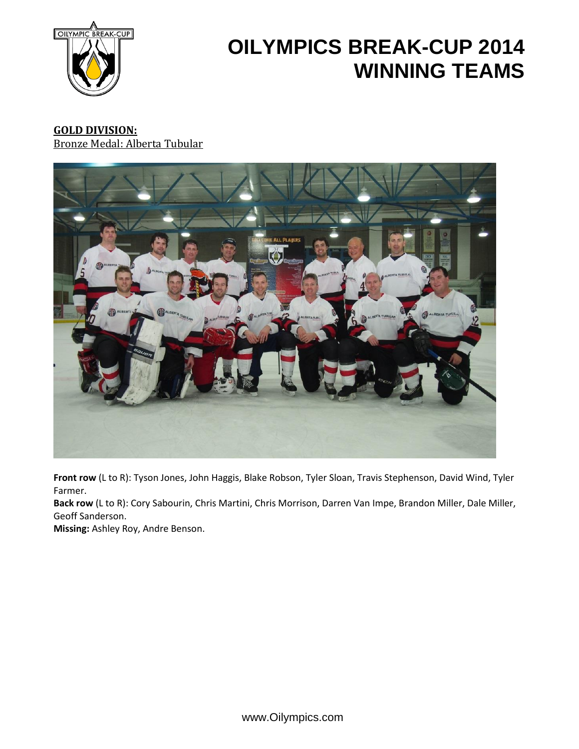

#### **GOLD DIVISION:** Bronze Medal: Alberta Tubular



**Front row** (L to R): Tyson Jones, John Haggis, Blake Robson, Tyler Sloan, Travis Stephenson, David Wind, Tyler Farmer.

**Back row** (L to R): Cory Sabourin, Chris Martini, Chris Morrison, Darren Van Impe, Brandon Miller, Dale Miller, Geoff Sanderson.

**Missing:** Ashley Roy, Andre Benson.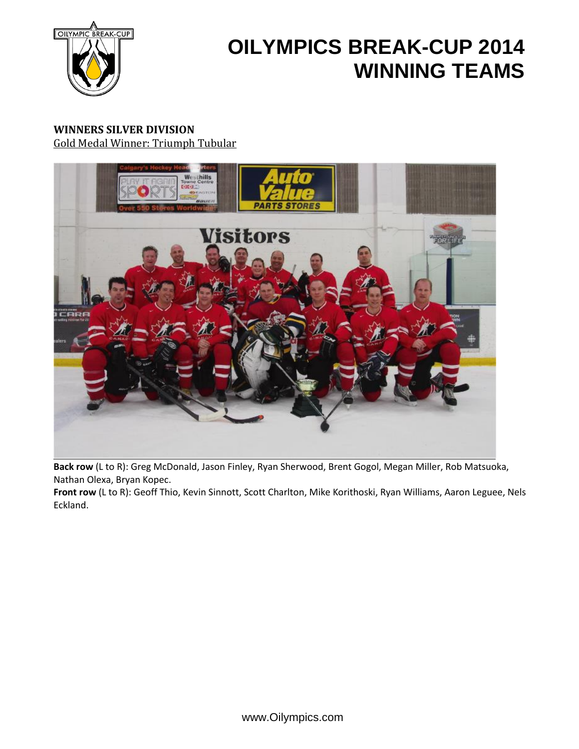

### **WINNERS SILVER DIVISION** Gold Medal Winner: Triumph Tubular



**Back row** (L to R): Greg McDonald, Jason Finley, Ryan Sherwood, Brent Gogol, Megan Miller, Rob Matsuoka, Nathan Olexa, Bryan Kopec.

**Front row** (L to R): Geoff Thio, Kevin Sinnott, Scott Charlton, Mike Korithoski, Ryan Williams, Aaron Leguee, Nels Eckland.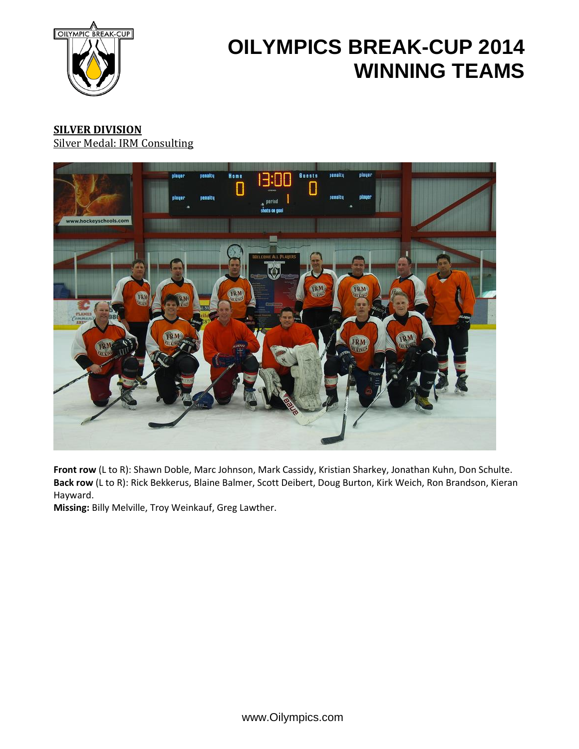

### **SILVER DIVISION** Silver Medal: IRM Consulting



**Front row** (L to R): Shawn Doble, Marc Johnson, Mark Cassidy, Kristian Sharkey, Jonathan Kuhn, Don Schulte. **Back row** (L to R): Rick Bekkerus, Blaine Balmer, Scott Deibert, Doug Burton, Kirk Weich, Ron Brandson, Kieran Hayward.

**Missing:** Billy Melville, Troy Weinkauf, Greg Lawther.